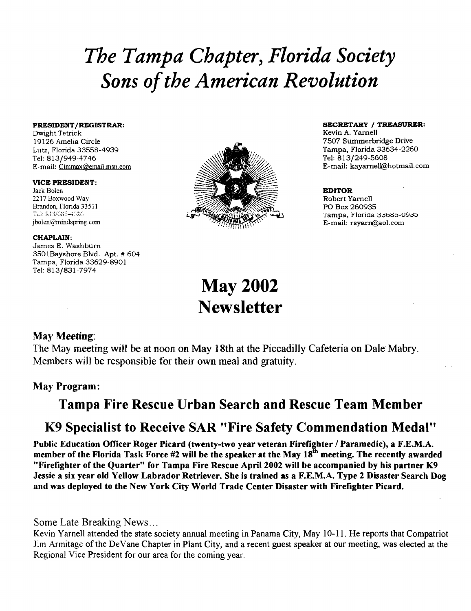# *The Tampa Chapter, Florida Society* **Sons of the American Revolution**

Dwight Tetrick<br>19126 Amelia Circle Tel: 813/949-4746<br>E-mail: Cimmax@email.msn.com

#### VICE PRESIDENT:

Brandon, Florida 33511<br>Tel: 813/685-4026

#### CHAPLAIN:

James E. Washburn 3501Bayshore Blvd. Apt. # 604 Tampa, Florida 33629-8901 Tel: 813/831-7974



## **PRESIDENT/REGISTRAR:** SECRETARY / TREASURER: SECRETARY / TREASURER: SECRETARY / TREASURER: SECRETARY / TREASURER:

7507 Summerbridge Drive<br>Tampa, Florida 33634-2260 E-mail: kayarnell@hotmail.com

jbolen@mindspring.com E-mail: rsyarn@aol.com

## May 2002 **Newsletter**

### May Meeting:

The May meeting will be at noon on May 18th at the Piccadilly Cafeteria on Dale Mabry. Members will be responsible for their own meal and gratuity.

### May Program:

## Tampa Fire Rescue Urban Search and Rescue Team Member

### K9 Specialist to Receive SAR "Fire Safety Commendation Medal"

Public Education Officer Roger Picard (twenty-two year veteran Firefighter / Paramedic), a F.E.M.A. member of the Florida Task Force #2 will be the speaker at the May 18<sup>th</sup> meeting. The recently awarded "Firefighter of the Quarter" for Tampa Fire Rescue April 2002 will be accompanied by his partner K9 Jessie a six year old Yellow Labrador Retriever. She is trained as a F.E.M.A. Type 2 Disaster Search Dog and was deployed to the New York City World Trade Center Disaster with Firefighter Picard.

Some Late Breaking News ...

Kevin Yarnell attended the state society annual meeting in Panama City, May 10-11. He reports that Compatriot Jim Armitage ofthe DeVane Chapter in Plant City, and a recent guest speaker at our meeting, was elected at the Regional Vice President for our area for the coming year.